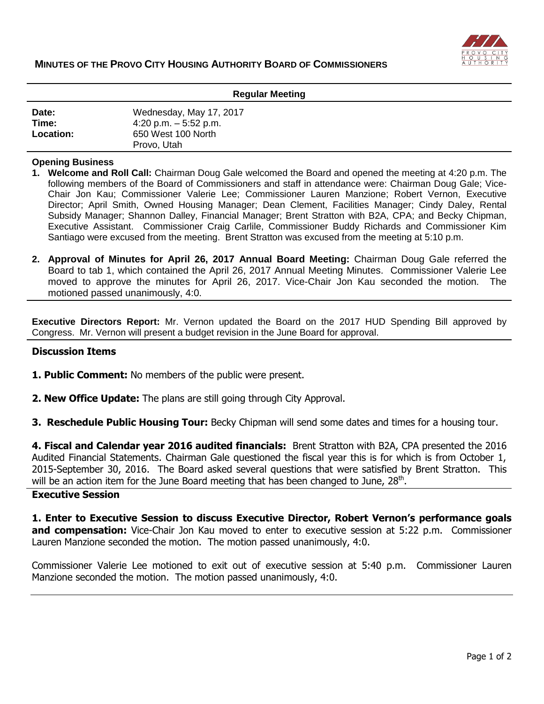

| <b>Regular Meeting</b> |                         |
|------------------------|-------------------------|
| Date:                  | Wednesday, May 17, 2017 |
| Time:                  | 4:20 p.m. $-5:52$ p.m.  |
| Location:              | 650 West 100 North      |
|                        | Provo, Utah             |

## **Opening Business**

- **1. Welcome and Roll Call:** Chairman Doug Gale welcomed the Board and opened the meeting at 4:20 p.m. The following members of the Board of Commissioners and staff in attendance were: Chairman Doug Gale; Vice-Chair Jon Kau; Commissioner Valerie Lee; Commissioner Lauren Manzione; Robert Vernon, Executive Director; April Smith, Owned Housing Manager; Dean Clement, Facilities Manager; Cindy Daley, Rental Subsidy Manager; Shannon Dalley, Financial Manager; Brent Stratton with B2A, CPA; and Becky Chipman, Executive Assistant. Commissioner Craig Carlile, Commissioner Buddy Richards and Commissioner Kim Santiago were excused from the meeting. Brent Stratton was excused from the meeting at 5:10 p.m.
- **2. Approval of Minutes for April 26, 2017 Annual Board Meeting:** Chairman Doug Gale referred the Board to tab 1, which contained the April 26, 2017 Annual Meeting Minutes. Commissioner Valerie Lee moved to approve the minutes for April 26, 2017. Vice-Chair Jon Kau seconded the motion. The motioned passed unanimously, 4:0.

**Executive Directors Report:** Mr. Vernon updated the Board on the 2017 HUD Spending Bill approved by Congress. Mr. Vernon will present a budget revision in the June Board for approval.

## **Discussion Items**

- **1. Public Comment:** No members of the public were present.
- **2. New Office Update:** The plans are still going through City Approval.
- **3. Reschedule Public Housing Tour:** Becky Chipman will send some dates and times for a housing tour.

**4. Fiscal and Calendar year 2016 audited financials:** Brent Stratton with B2A, CPA presented the 2016 Audited Financial Statements. Chairman Gale questioned the fiscal year this is for which is from October 1, 2015-September 30, 2016. The Board asked several questions that were satisfied by Brent Stratton. This will be an action item for the June Board meeting that has been changed to June,  $28<sup>th</sup>$ .

## **Executive Session**

**1. Enter to Executive Session to discuss Executive Director, Robert Vernon's performance goals and compensation:** Vice-Chair Jon Kau moved to enter to executive session at 5:22 p.m. Commissioner Lauren Manzione seconded the motion. The motion passed unanimously, 4:0.

Commissioner Valerie Lee motioned to exit out of executive session at 5:40 p.m. Commissioner Lauren Manzione seconded the motion. The motion passed unanimously, 4:0.